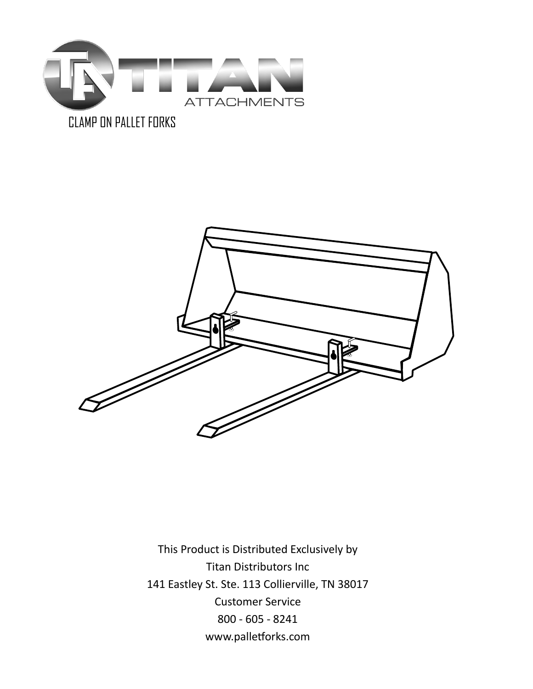

## CLAMP ON PALLET FORKS



This Product is Distributed Exclusively by Titan Distributors Inc 141 Eastley St. Ste. 113 Collierville, TN 38017 Customer Service 800 - 605 - 8241 www.palletforks.com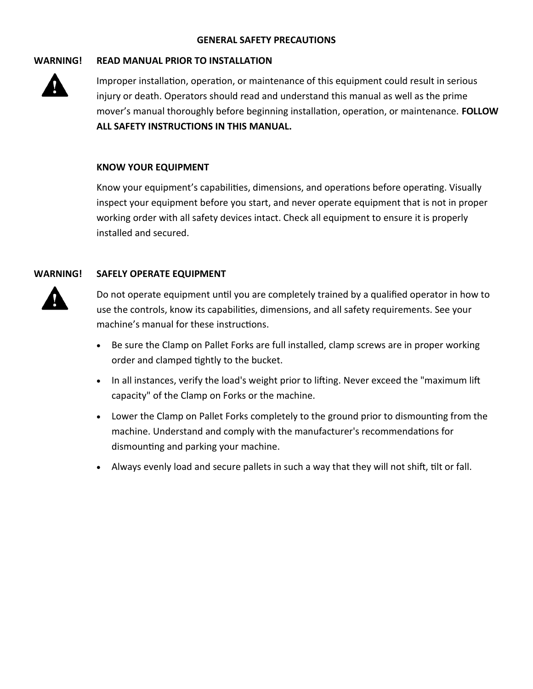#### **GENERAL SAFETY PRECAUTIONS**

#### **WARNING! READ MANUAL PRIOR TO INSTALLATION**



Improper installation, operation, or maintenance of this equipment could result in serious injury or death. Operators should read and understand this manual as well as the prime mover's manual thoroughly before beginning installation, operation, or maintenance. **FOLLOW ALL SAFETY INSTRUCTIONS IN THIS MANUAL.**

#### **KNOW YOUR EQUIPMENT**

Know your equipment's capabilities, dimensions, and operations before operating. Visually inspect your equipment before you start, and never operate equipment that is not in proper working order with all safety devices intact. Check all equipment to ensure it is properly installed and secured.

#### **WARNING! SAFELY OPERATE EQUIPMENT**



Do not operate equipment until you are completely trained by a qualified operator in how to use the controls, know its capabilities, dimensions, and all safety requirements. See your machine's manual for these instructions.

- Be sure the Clamp on Pallet Forks are full installed, clamp screws are in proper working order and clamped tightly to the bucket.
- In all instances, verify the load's weight prior to lifting. Never exceed the "maximum lift" capacity" of the Clamp on Forks or the machine.
- Lower the Clamp on Pallet Forks completely to the ground prior to dismounting from the machine. Understand and comply with the manufacturer's recommendations for dismounting and parking your machine.
- Always evenly load and secure pallets in such a way that they will not shift, tilt or fall.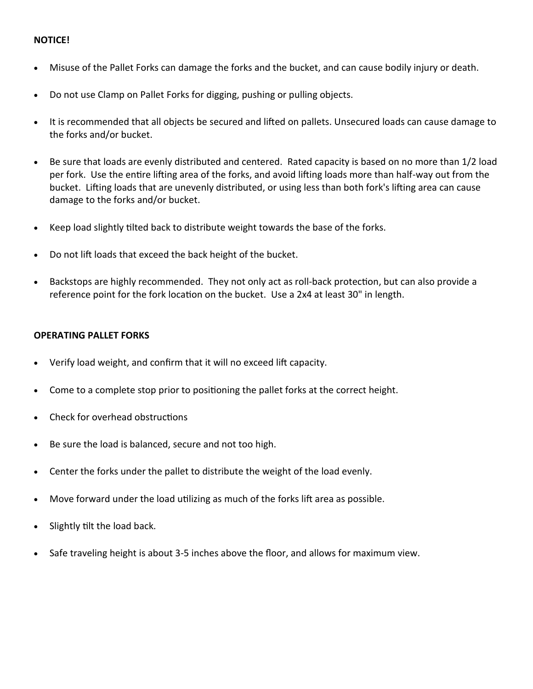### **NOTICE!**

- Misuse of the Pallet Forks can damage the forks and the bucket, and can cause bodily injury or death.
- Do not use Clamp on Pallet Forks for digging, pushing or pulling objects.
- It is recommended that all objects be secured and lifted on pallets. Unsecured loads can cause damage to the forks and/or bucket.
- Be sure that loads are evenly distributed and centered. Rated capacity is based on no more than 1/2 load per fork. Use the entire lifting area of the forks, and avoid lifting loads more than half-way out from the bucket. Lifting loads that are unevenly distributed, or using less than both fork's lifting area can cause damage to the forks and/or bucket.
- Keep load slightly tilted back to distribute weight towards the base of the forks.
- Do not lift loads that exceed the back height of the bucket.
- Backstops are highly recommended. They not only act as roll-back protection, but can also provide a reference point for the fork location on the bucket. Use a 2x4 at least 30" in length.

#### **OPERATING PALLET FORKS**

- Verify load weight, and confirm that it will no exceed lift capacity.
- Come to a complete stop prior to positioning the pallet forks at the correct height.
- Check for overhead obstructions
- Be sure the load is balanced, secure and not too high.
- Center the forks under the pallet to distribute the weight of the load evenly.
- Move forward under the load utilizing as much of the forks lift area as possible.
- Slightly tilt the load back.
- Safe traveling height is about 3-5 inches above the floor, and allows for maximum view.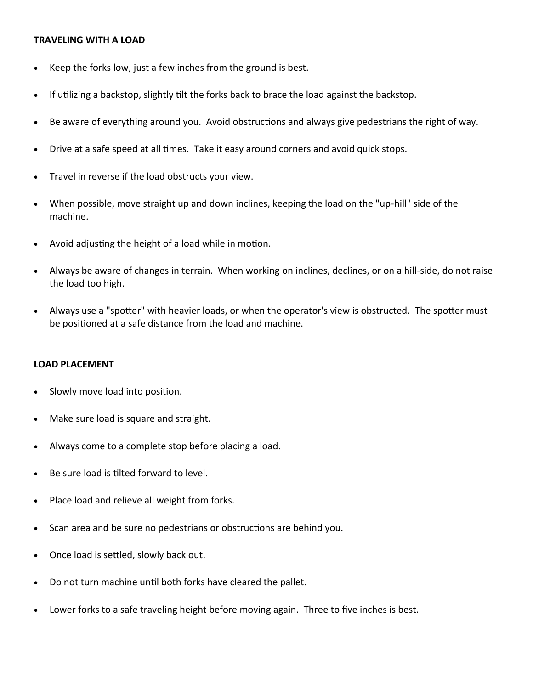#### **TRAVELING WITH A LOAD**

- Keep the forks low, just a few inches from the ground is best.
- If utilizing a backstop, slightly tilt the forks back to brace the load against the backstop.
- Be aware of everything around you. Avoid obstructions and always give pedestrians the right of way.
- Drive at a safe speed at all times. Take it easy around corners and avoid quick stops.
- Travel in reverse if the load obstructs your view.
- When possible, move straight up and down inclines, keeping the load on the "up-hill" side of the machine.
- Avoid adjusting the height of a load while in motion.
- Always be aware of changes in terrain. When working on inclines, declines, or on a hill-side, do not raise the load too high.
- Always use a "spotter" with heavier loads, or when the operator's view is obstructed. The spotter must be positioned at a safe distance from the load and machine.

#### **LOAD PLACEMENT**

- Slowly move load into position.
- Make sure load is square and straight.
- Always come to a complete stop before placing a load.
- Be sure load is tilted forward to level.
- Place load and relieve all weight from forks.
- Scan area and be sure no pedestrians or obstructions are behind you.
- Once load is settled, slowly back out.
- Do not turn machine until both forks have cleared the pallet.
- Lower forks to a safe traveling height before moving again. Three to five inches is best.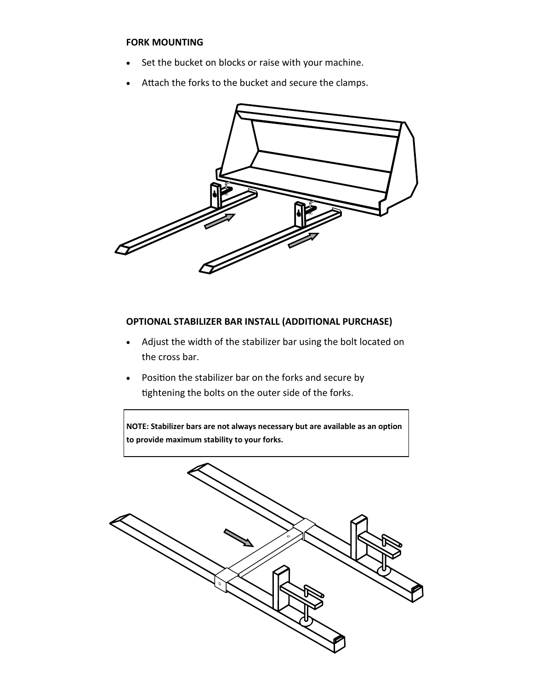#### **FORK MOUNTING**

- Set the bucket on blocks or raise with your machine.
- Attach the forks to the bucket and secure the clamps.



### **OPTIONAL STABILIZER BAR INSTALL (ADDITIONAL PURCHASE)**

- Adjust the width of the stabilizer bar using the bolt located on the cross bar.
- Position the stabilizer bar on the forks and secure by tightening the bolts on the outer side of the forks.

**NOTE: Stabilizer bars are not always necessary but are available as an option to provide maximum stability to your forks.**

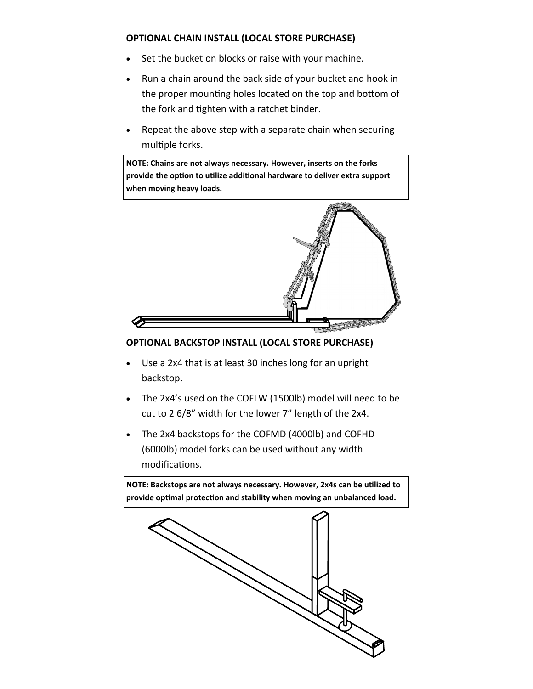## **OPTIONAL CHAIN INSTALL (LOCAL STORE PURCHASE)**

- Set the bucket on blocks or raise with your machine.
- Run a chain around the back side of your bucket and hook in the proper mounting holes located on the top and bottom of the fork and tighten with a ratchet binder.
- Repeat the above step with a separate chain when securing multiple forks.

**NOTE: Chains are not always necessary. However, inserts on the forks provide the option to utilize additional hardware to deliver extra support when moving heavy loads.**



## **OPTIONAL BACKSTOP INSTALL (LOCAL STORE PURCHASE)**

- Use a 2x4 that is at least 30 inches long for an upright backstop.
- The 2x4's used on the COFLW (1500lb) model will need to be cut to 2 6/8" width for the lower 7" length of the 2x4.
- The 2x4 backstops for the COFMD (4000lb) and COFHD (6000lb) model forks can be used without any width modifications.

**NOTE: Backstops are not always necessary. However, 2x4s can be utilized to provide optimal protection and stability when moving an unbalanced load.**

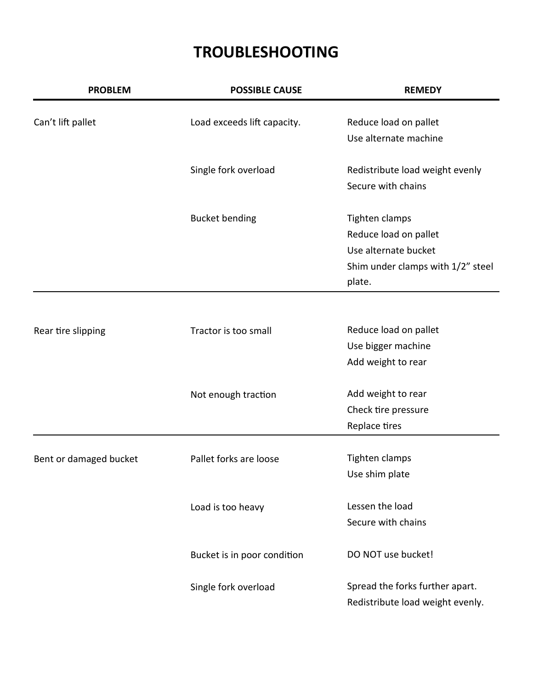# **TROUBLESHOOTING**

| <b>PROBLEM</b>         | <b>POSSIBLE CAUSE</b>       | <b>REMEDY</b>                     |
|------------------------|-----------------------------|-----------------------------------|
| Can't lift pallet      | Load exceeds lift capacity. | Reduce load on pallet             |
|                        |                             | Use alternate machine             |
|                        | Single fork overload        | Redistribute load weight evenly   |
|                        |                             | Secure with chains                |
|                        | <b>Bucket bending</b>       | Tighten clamps                    |
|                        |                             | Reduce load on pallet             |
|                        |                             | Use alternate bucket              |
|                        |                             | Shim under clamps with 1/2" steel |
|                        |                             | plate.                            |
|                        |                             |                                   |
| Rear tire slipping     | Tractor is too small        | Reduce load on pallet             |
|                        |                             | Use bigger machine                |
|                        |                             | Add weight to rear                |
|                        | Not enough traction         | Add weight to rear                |
|                        |                             | Check tire pressure               |
|                        |                             | Replace tires                     |
|                        |                             |                                   |
| Bent or damaged bucket | Pallet forks are loose      | Tighten clamps                    |
|                        |                             | Use shim plate                    |
|                        | Load is too heavy           | Lessen the load                   |
|                        |                             | Secure with chains                |
|                        | Bucket is in poor condition | DO NOT use bucket!                |
|                        | Single fork overload        | Spread the forks further apart.   |
|                        |                             | Redistribute load weight evenly.  |